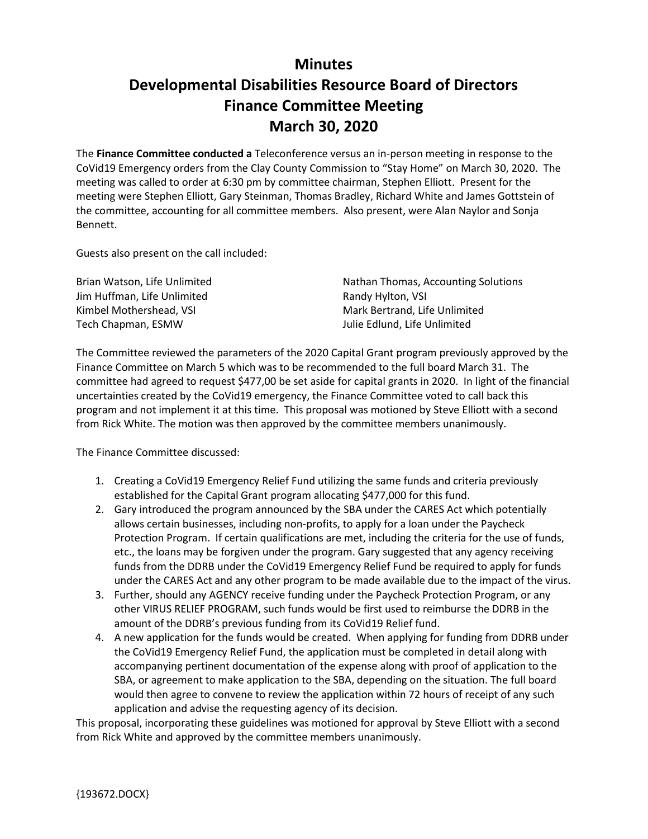## **Minutes Developmental Disabilities Resource Board of Directors Finance Committee Meeting March 30, 2020**

The **Finance Committee conducted a** Teleconference versus an in-person meeting in response to the CoVid19 Emergency orders from the Clay County Commission to "Stay Home" on March 30, 2020. The meeting was called to order at 6:30 pm by committee chairman, Stephen Elliott. Present for the meeting were Stephen Elliott, Gary Steinman, Thomas Bradley, Richard White and James Gottstein of the committee, accounting for all committee members. Also present, were Alan Naylor and Sonja Bennett.

Guests also present on the call included:

| Brian Watson, Life Unlimited | Nathan Thomas, Accounting Solutions |
|------------------------------|-------------------------------------|
| Jim Huffman, Life Unlimited  | Randy Hylton, VSI                   |
| Kimbel Mothershead. VSI      | Mark Bertrand, Life Unlimited       |
| Tech Chapman, ESMW           | Julie Edlund. Life Unlimited        |

The Committee reviewed the parameters of the 2020 Capital Grant program previously approved by the Finance Committee on March 5 which was to be recommended to the full board March 31. The committee had agreed to request \$477,00 be set aside for capital grants in 2020. In light of the financial uncertainties created by the CoVid19 emergency, the Finance Committee voted to call back this program and not implement it at this time. This proposal was motioned by Steve Elliott with a second from Rick White. The motion was then approved by the committee members unanimously.

The Finance Committee discussed:

- 1. Creating a CoVid19 Emergency Relief Fund utilizing the same funds and criteria previously established for the Capital Grant program allocating \$477,000 for this fund.
- 2. Gary introduced the program announced by the SBA under the CARES Act which potentially allows certain businesses, including non-profits, to apply for a loan under the Paycheck Protection Program. If certain qualifications are met, including the criteria for the use of funds, etc., the loans may be forgiven under the program. Gary suggested that any agency receiving funds from the DDRB under the CoVid19 Emergency Relief Fund be required to apply for funds under the CARES Act and any other program to be made available due to the impact of the virus.
- 3. Further, should any AGENCY receive funding under the Paycheck Protection Program, or any other VIRUS RELIEF PROGRAM, such funds would be first used to reimburse the DDRB in the amount of the DDRB's previous funding from its CoVid19 Relief fund.
- 4. A new application for the funds would be created. When applying for funding from DDRB under the CoVid19 Emergency Relief Fund, the application must be completed in detail along with accompanying pertinent documentation of the expense along with proof of application to the SBA, or agreement to make application to the SBA, depending on the situation. The full board would then agree to convene to review the application within 72 hours of receipt of any such application and advise the requesting agency of its decision.

This proposal, incorporating these guidelines was motioned for approval by Steve Elliott with a second from Rick White and approved by the committee members unanimously.